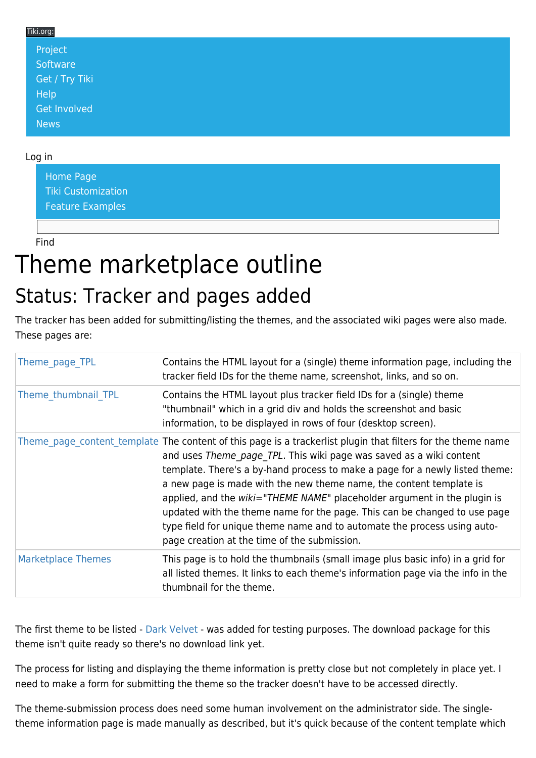#### Tiki.org:

| Project             |  |  |  |
|---------------------|--|--|--|
| Software            |  |  |  |
| Get / Try Tiki      |  |  |  |
| Help                |  |  |  |
| <b>Get Involved</b> |  |  |  |
| <b>News</b>         |  |  |  |

#### Log in

[Home Page](https://themes.tiki.org/Themes) [Tiki Customization](https://themes.tiki.org/Tiki-Customization) [Feature Examples](#page--1-0)

Find

# Theme marketplace outline

### Status: Tracker and pages added

The tracker has been added for submitting/listing the themes, and the associated wiki pages were also made. These pages are:

|  | Theme page TPL            | Contains the HTML layout for a (single) theme information page, including the<br>tracker field IDs for the theme name, screenshot, links, and so on.                                                                                                                                                                                                                                                                                                                                                                                                                                                                            |
|--|---------------------------|---------------------------------------------------------------------------------------------------------------------------------------------------------------------------------------------------------------------------------------------------------------------------------------------------------------------------------------------------------------------------------------------------------------------------------------------------------------------------------------------------------------------------------------------------------------------------------------------------------------------------------|
|  | Theme thumbnail TPL       | Contains the HTML layout plus tracker field IDs for a (single) theme<br>"thumbnail" which in a grid div and holds the screenshot and basic<br>information, to be displayed in rows of four (desktop screen).                                                                                                                                                                                                                                                                                                                                                                                                                    |
|  |                           | Theme page content template The content of this page is a trackerlist plugin that filters for the theme name<br>and uses Theme page TPL. This wiki page was saved as a wiki content<br>template. There's a by-hand process to make a page for a newly listed theme:<br>a new page is made with the new theme name, the content template is<br>applied, and the wiki="THEME NAME" placeholder argument in the plugin is<br>updated with the theme name for the page. This can be changed to use page<br>type field for unique theme name and to automate the process using auto-<br>page creation at the time of the submission. |
|  | <b>Marketplace Themes</b> | This page is to hold the thumbnails (small image plus basic info) in a grid for<br>all listed themes. It links to each theme's information page via the info in the<br>thumbnail for the theme.                                                                                                                                                                                                                                                                                                                                                                                                                                 |

The first theme to be listed - [Dark Velvet](https://themes.tiki.org/Dark-Velvet) - was added for testing purposes. The download package for this theme isn't quite ready so there's no download link yet.

The process for listing and displaying the theme information is pretty close but not completely in place yet. I need to make a form for submitting the theme so the tracker doesn't have to be accessed directly.

The theme-submission process does need some human involvement on the administrator side. The singletheme information page is made manually as described, but it's quick because of the content template which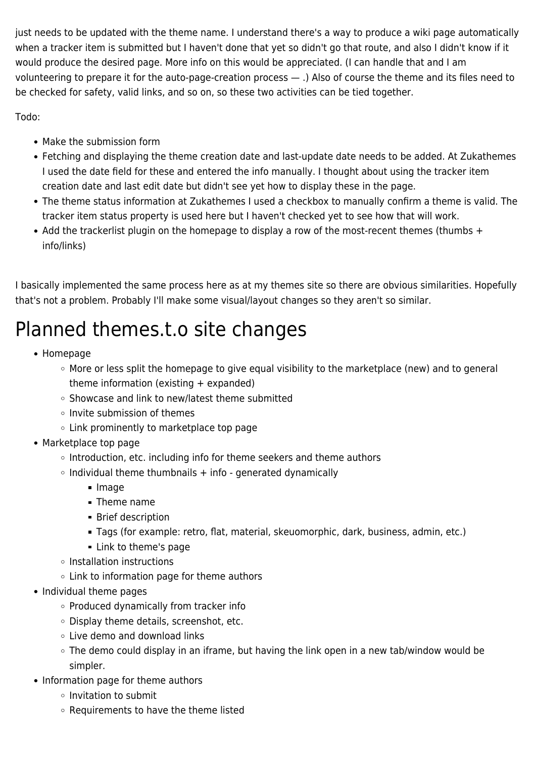just needs to be updated with the theme name. I understand there's a way to produce a wiki page automatically when a tracker item is submitted but I haven't done that yet so didn't go that route, and also I didn't know if it would produce the desired page. More info on this would be appreciated. (I can handle that and I am volunteering to prepare it for the auto-page-creation process — .) Also of course the theme and its files need to be checked for safety, valid links, and so on, so these two activities can be tied together.

Todo:

- Make the submission form
- Fetching and displaying the theme creation date and last-update date needs to be added. At Zukathemes I used the date field for these and entered the info manually. I thought about using the tracker item creation date and last edit date but didn't see yet how to display these in the page.
- The theme status information at Zukathemes I used a checkbox to manually confirm a theme is valid. The tracker item status property is used here but I haven't checked yet to see how that will work.
- Add the trackerlist plugin on the homepage to display a row of the most-recent themes (thumbs + info/links)

I basically implemented the same process here as at my themes site so there are obvious similarities. Hopefully that's not a problem. Probably I'll make some visual/layout changes so they aren't so similar.

## Planned themes.t.o site changes

- Homepage
	- More or less split the homepage to give equal visibility to the marketplace (new) and to general theme information (existing + expanded)
	- $\circ$  Showcase and link to new/latest theme submitted
	- $\circ$  Invite submission of themes
	- Link prominently to marketplace top page
- Marketplace top page
	- Introduction, etc. including info for theme seekers and theme authors
	- $\circ$  Individual theme thumbnails  $+$  info generated dynamically
		- **Image**
		- Theme name
		- **Brief description**
		- Tags (for example: retro, flat, material, skeuomorphic, dark, business, admin, etc.)
		- **Link to theme's page**
	- Installation instructions
	- $\circ$  Link to information page for theme authors
- Individual theme pages
	- Produced dynamically from tracker info
	- Display theme details, screenshot, etc.
	- Live demo and download links
	- The demo could display in an iframe, but having the link open in a new tab/window would be simpler.
- Information page for theme authors
	- Invitation to submit
	- Requirements to have the theme listed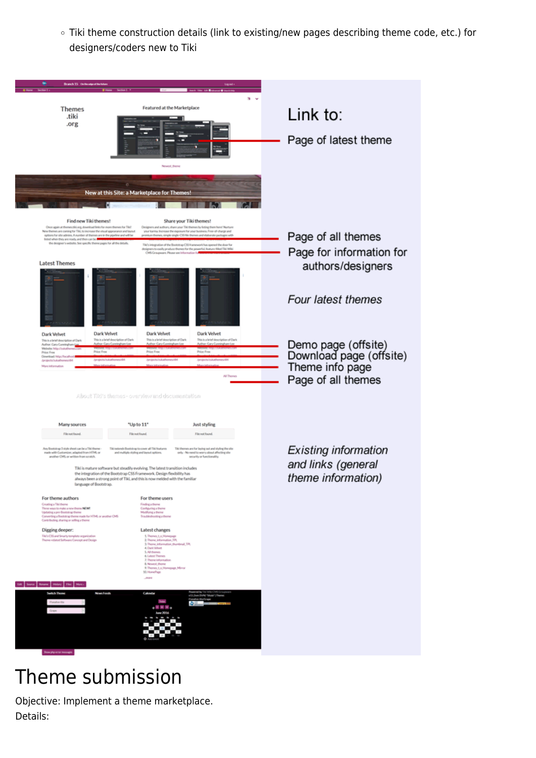Tiki theme construction details (link to existing/new pages describing theme code, etc.) for designers/coders new to Tiki



### Theme submission

Objective: Implement a theme marketplace. Details: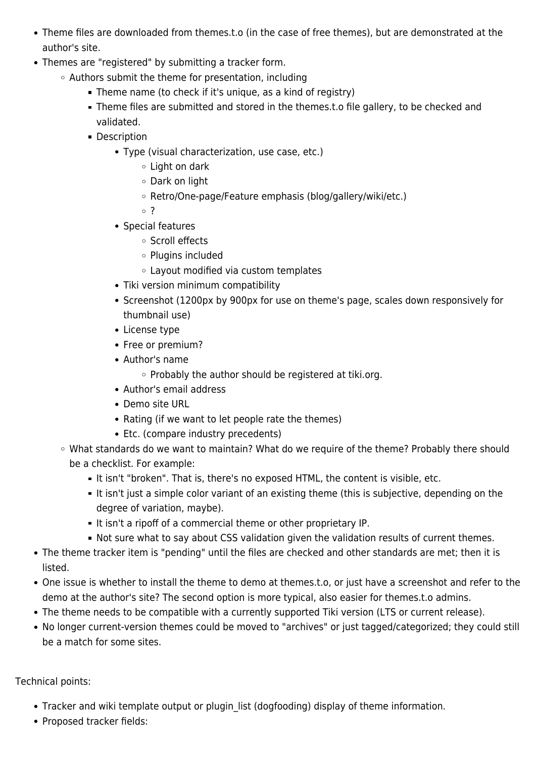- Theme files are downloaded from themes.t.o (in the case of free themes), but are demonstrated at the author's site.
- Themes are "registered" by submitting a tracker form.
	- Authors submit the theme for presentation, including
		- Theme name (to check if it's unique, as a kind of registry)
		- Theme files are submitted and stored in the themes.t.o file gallery, to be checked and validated.
		- **Description** 
			- Type (visual characterization, use case, etc.)
				- Light on dark
				- Dark on light
				- Retro/One-page/Feature emphasis (blog/gallery/wiki/etc.)
				- ?
			- Special features
				- Scroll effects
				- Plugins included
				- Layout modified via custom templates
			- Tiki version minimum compatibility
			- Screenshot (1200px by 900px for use on theme's page, scales down responsively for thumbnail use)
			- License type
			- Free or premium?
			- Author's name
				- $\circ$  Probably the author should be registered at tiki.org.
			- Author's email address
			- Demo site URL
			- Rating (if we want to let people rate the themes)
			- Etc. (compare industry precedents)
	- What standards do we want to maintain? What do we require of the theme? Probably there should be a checklist. For example:
		- It isn't "broken". That is, there's no exposed HTML, the content is visible, etc.
		- It isn't just a simple color variant of an existing theme (this is subjective, depending on the degree of variation, maybe).
		- It isn't a ripoff of a commercial theme or other proprietary IP.
		- Not sure what to say about CSS validation given the validation results of current themes.
- The theme tracker item is "pending" until the files are checked and other standards are met; then it is listed.
- One issue is whether to install the theme to demo at themes.t.o, or just have a screenshot and refer to the demo at the author's site? The second option is more typical, also easier for themes.t.o admins.
- The theme needs to be compatible with a currently supported Tiki version (LTS or current release).
- No longer current-version themes could be moved to "archives" or just tagged/categorized; they could still be a match for some sites.

#### Technical points:

- Tracker and wiki template output or plugin list (dogfooding) display of theme information.
- Proposed tracker fields: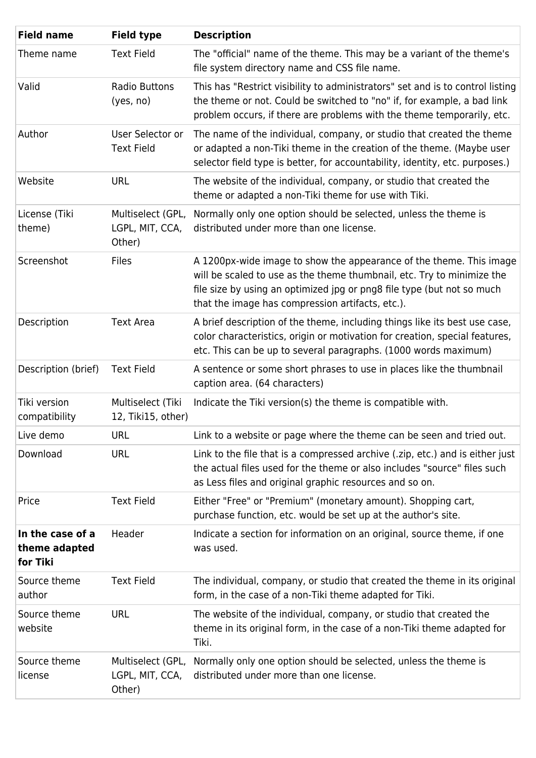| <b>Field name</b>                             | <b>Field type</b>                              | <b>Description</b>                                                                                                                                                                                                                                                          |
|-----------------------------------------------|------------------------------------------------|-----------------------------------------------------------------------------------------------------------------------------------------------------------------------------------------------------------------------------------------------------------------------------|
| Theme name                                    | <b>Text Field</b>                              | The "official" name of the theme. This may be a variant of the theme's<br>file system directory name and CSS file name.                                                                                                                                                     |
| Valid                                         | <b>Radio Buttons</b><br>(yes, no)              | This has "Restrict visibility to administrators" set and is to control listing<br>the theme or not. Could be switched to "no" if, for example, a bad link<br>problem occurs, if there are problems with the theme temporarily, etc.                                         |
| Author                                        | User Selector or<br><b>Text Field</b>          | The name of the individual, company, or studio that created the theme<br>or adapted a non-Tiki theme in the creation of the theme. (Maybe user<br>selector field type is better, for accountability, identity, etc. purposes.)                                              |
| Website                                       | <b>URL</b>                                     | The website of the individual, company, or studio that created the<br>theme or adapted a non-Tiki theme for use with Tiki.                                                                                                                                                  |
| License (Tiki<br>theme)                       | Multiselect (GPL,<br>LGPL, MIT, CCA,<br>Other) | Normally only one option should be selected, unless the theme is<br>distributed under more than one license.                                                                                                                                                                |
| Screenshot                                    | <b>Files</b>                                   | A 1200px-wide image to show the appearance of the theme. This image<br>will be scaled to use as the theme thumbnail, etc. Try to minimize the<br>file size by using an optimized jpg or png8 file type (but not so much<br>that the image has compression artifacts, etc.). |
| Description                                   | <b>Text Area</b>                               | A brief description of the theme, including things like its best use case,<br>color characteristics, origin or motivation for creation, special features,<br>etc. This can be up to several paragraphs. (1000 words maximum)                                                |
| Description (brief)                           | <b>Text Field</b>                              | A sentence or some short phrases to use in places like the thumbnail<br>caption area. (64 characters)                                                                                                                                                                       |
| Tiki version<br>compatibility                 | Multiselect (Tiki<br>12, Tiki15, other)        | Indicate the Tiki version(s) the theme is compatible with.                                                                                                                                                                                                                  |
| Live demo                                     | <b>URL</b>                                     | Link to a website or page where the theme can be seen and tried out.                                                                                                                                                                                                        |
| Download                                      | <b>URL</b>                                     | Link to the file that is a compressed archive (.zip, etc.) and is either just<br>the actual files used for the theme or also includes "source" files such<br>as Less files and original graphic resources and so on.                                                        |
| Price                                         | <b>Text Field</b>                              | Either "Free" or "Premium" (monetary amount). Shopping cart,<br>purchase function, etc. would be set up at the author's site.                                                                                                                                               |
| In the case of a<br>theme adapted<br>for Tiki | Header                                         | Indicate a section for information on an original, source theme, if one<br>was used.                                                                                                                                                                                        |
| Source theme<br>author                        | <b>Text Field</b>                              | The individual, company, or studio that created the theme in its original<br>form, in the case of a non-Tiki theme adapted for Tiki.                                                                                                                                        |
| Source theme<br>website                       | <b>URL</b>                                     | The website of the individual, company, or studio that created the<br>theme in its original form, in the case of a non-Tiki theme adapted for<br>Tiki.                                                                                                                      |
| Source theme<br>license                       | Multiselect (GPL,<br>LGPL, MIT, CCA,<br>Other) | Normally only one option should be selected, unless the theme is<br>distributed under more than one license.                                                                                                                                                                |